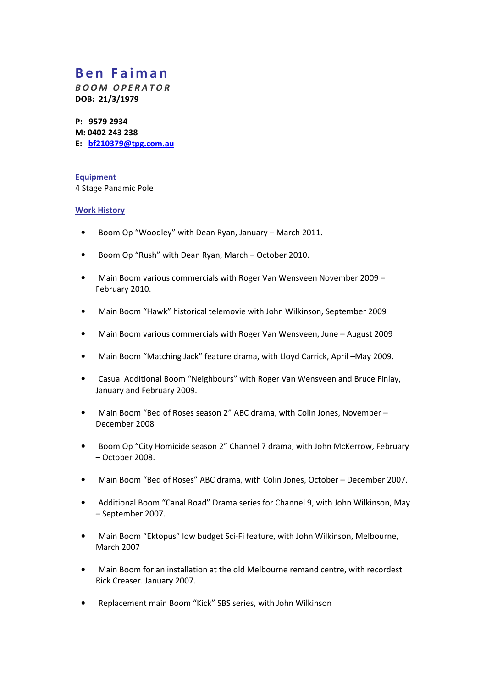# Ben Faiman

BOOM OPERATOR DOB: 21/3/1979

P: 9579 2934 M: 0402 243 238 E: bf210379@tpg.com.au

**Equipment** 4 Stage Panamic Pole

## Work History

- Boom Op "Woodley" with Dean Ryan, January March 2011.
- Boom Op "Rush" with Dean Ryan, March October 2010.
- Main Boom various commercials with Roger Van Wensveen November 2009 February 2010.
- Main Boom "Hawk" historical telemovie with John Wilkinson, September 2009
- Main Boom various commercials with Roger Van Wensveen, June August 2009
- Main Boom "Matching Jack" feature drama, with Lloyd Carrick, April –May 2009.
- Casual Additional Boom "Neighbours" with Roger Van Wensveen and Bruce Finlay, January and February 2009.
- Main Boom "Bed of Roses season 2" ABC drama, with Colin Jones, November December 2008
- Boom Op "City Homicide season 2" Channel 7 drama, with John McKerrow, February – October 2008.
- Main Boom "Bed of Roses" ABC drama, with Colin Jones, October December 2007.
- Additional Boom "Canal Road" Drama series for Channel 9, with John Wilkinson, May – September 2007.
- Main Boom "Ektopus" low budget Sci-Fi feature, with John Wilkinson, Melbourne, March 2007
- Main Boom for an installation at the old Melbourne remand centre, with recordest Rick Creaser. January 2007.
- Replacement main Boom "Kick" SBS series, with John Wilkinson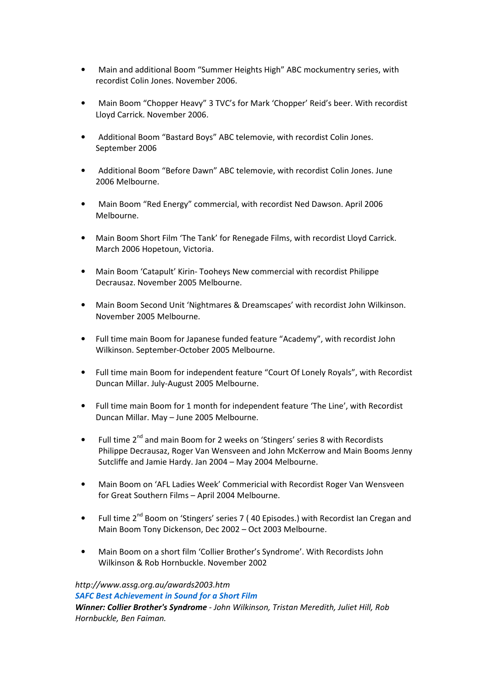- Main and additional Boom "Summer Heights High" ABC mockumentry series, with recordist Colin Jones. November 2006.
- Main Boom "Chopper Heavy" 3 TVC's for Mark 'Chopper' Reid's beer. With recordist Lloyd Carrick. November 2006.
- Additional Boom "Bastard Boys" ABC telemovie, with recordist Colin Jones. September 2006
- Additional Boom "Before Dawn" ABC telemovie, with recordist Colin Jones. June 2006 Melbourne.
- Main Boom "Red Energy" commercial, with recordist Ned Dawson. April 2006 Melbourne.
- Main Boom Short Film 'The Tank' for Renegade Films, with recordist Lloyd Carrick. March 2006 Hopetoun, Victoria.
- Main Boom 'Catapult' Kirin- Tooheys New commercial with recordist Philippe Decrausaz. November 2005 Melbourne.
- Main Boom Second Unit 'Nightmares & Dreamscapes' with recordist John Wilkinson. November 2005 Melbourne.
- Full time main Boom for Japanese funded feature "Academy", with recordist John Wilkinson. September-October 2005 Melbourne.
- Full time main Boom for independent feature "Court Of Lonely Royals", with Recordist Duncan Millar. July-August 2005 Melbourne.
- Full time main Boom for 1 month for independent feature 'The Line', with Recordist Duncan Millar. May – June 2005 Melbourne.
- Full time 2<sup>nd</sup> and main Boom for 2 weeks on 'Stingers' series 8 with Recordists Philippe Decrausaz, Roger Van Wensveen and John McKerrow and Main Booms Jenny Sutcliffe and Jamie Hardy. Jan 2004 – May 2004 Melbourne.
- Main Boom on 'AFL Ladies Week' Commericial with Recordist Roger Van Wensveen for Great Southern Films – April 2004 Melbourne.
- Full time 2<sup>nd</sup> Boom on 'Stingers' series 7 (40 Episodes.) with Recordist Ian Cregan and Main Boom Tony Dickenson, Dec 2002 – Oct 2003 Melbourne.
- Main Boom on a short film 'Collier Brother's Syndrome'. With Recordists John Wilkinson & Rob Hornbuckle. November 2002

http://www.assg.org.au/awards2003.htm SAFC Best Achievement in Sound for a Short Film Winner: Collier Brother's Syndrome - John Wilkinson, Tristan Meredith, Juliet Hill, Rob Hornbuckle, Ben Faiman.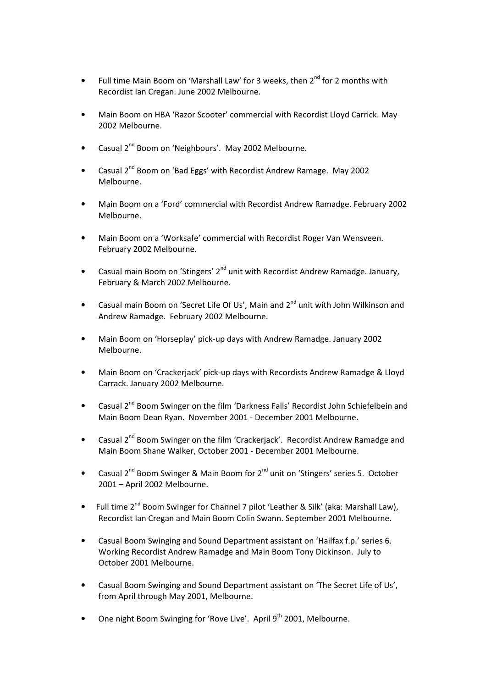- Full time Main Boom on 'Marshall Law' for 3 weeks, then 2<sup>nd</sup> for 2 months with Recordist Ian Cregan. June 2002 Melbourne.
- Main Boom on HBA 'Razor Scooter' commercial with Recordist Lloyd Carrick. May 2002 Melbourne.
- Casual 2nd Boom on 'Neighbours'. May 2002 Melbourne.
- Casual  $2^{nd}$  Boom on 'Bad Eggs' with Recordist Andrew Ramage. May 2002 Melbourne.
- Main Boom on a 'Ford' commercial with Recordist Andrew Ramadge. February 2002 Melbourne.
- Main Boom on a 'Worksafe' commercial with Recordist Roger Van Wensveen. February 2002 Melbourne.
- Casual main Boom on 'Stingers' 2<sup>nd</sup> unit with Recordist Andrew Ramadge. January, February & March 2002 Melbourne.
- Casual main Boom on 'Secret Life Of Us', Main and 2<sup>nd</sup> unit with John Wilkinson and Andrew Ramadge. February 2002 Melbourne.
- Main Boom on 'Horseplay' pick-up days with Andrew Ramadge. January 2002 Melbourne.
- Main Boom on 'Crackerjack' pick-up days with Recordists Andrew Ramadge & Lloyd Carrack. January 2002 Melbourne.
- Casual 2<sup>nd</sup> Boom Swinger on the film 'Darkness Falls' Recordist John Schiefelbein and Main Boom Dean Ryan. November 2001 - December 2001 Melbourne.
- Casual  $2^{nd}$  Boom Swinger on the film 'Crackerjack'. Recordist Andrew Ramadge and Main Boom Shane Walker, October 2001 - December 2001 Melbourne.
- Casual  $2^{nd}$  Boom Swinger & Main Boom for  $2^{nd}$  unit on 'Stingers' series 5. October 2001 – April 2002 Melbourne.
- Full time 2<sup>nd</sup> Boom Swinger for Channel 7 pilot 'Leather & Silk' (aka: Marshall Law), Recordist Ian Cregan and Main Boom Colin Swann. September 2001 Melbourne.
- Casual Boom Swinging and Sound Department assistant on 'Hailfax f.p.' series 6. Working Recordist Andrew Ramadge and Main Boom Tony Dickinson. July to October 2001 Melbourne.
- Casual Boom Swinging and Sound Department assistant on 'The Secret Life of Us', from April through May 2001, Melbourne.
- One night Boom Swinging for 'Rove Live'. April 9<sup>th</sup> 2001, Melbourne.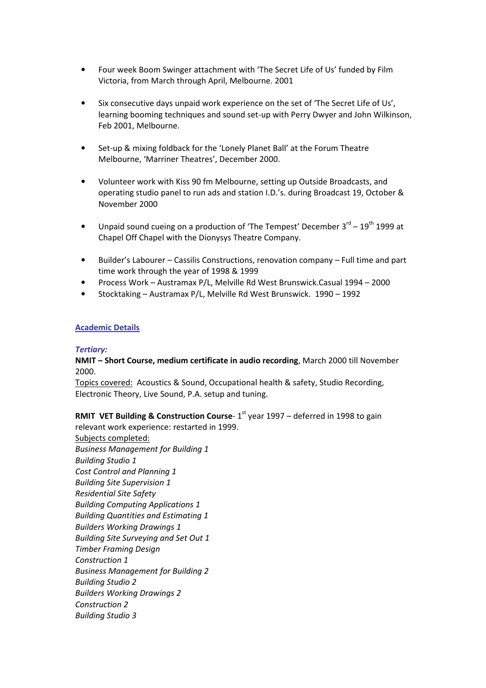- Four week Boom Swinger attachment with 'The Secret Life of Us' funded by Film Victoria, from March through April, Melbourne. 2001
- Six consecutive days unpaid work experience on the set of 'The Secret Life of Us', learning booming techniques and sound set-up with Perry Dwyer and John Wilkinson, Feb 2001, Melbourne.
- Set-up & mixing foldback for the 'Lonely Planet Ball' at the Forum Theatre Melbourne, 'Marriner Theatres', December 2000.
- Volunteer work with Kiss 90 fm Melbourne, setting up Outside Broadcasts, and operating studio panel to run ads and station I.D.'s. during Broadcast 19, October & November 2000
- Unpaid sound cueing on a production of 'The Tempest' December  $3<sup>rd</sup> 19<sup>th</sup>$  1999 at Chapel Off Chapel with the Dionysys Theatre Company.
- Builder's Labourer Cassilis Constructions, renovation company Full time and part time work through the year of 1998 & 1999
- Process Work Austramax P/L, Melville Rd West Brunswick.Casual 1994 2000
- Stocktaking Austramax P/L, Melville Rd West Brunswick. 1990 1992

### Academic Details

#### Tertiary:

## NMIT – Short Course, medium certificate in audio recording, March 2000 till November 2000.

Topics covered: Acoustics & Sound, Occupational health & safety, Studio Recording, Electronic Theory, Live Sound, P.A. setup and tuning.

**RMIT VET Building & Construction Course-**  $1<sup>st</sup>$  year 1997 – deferred in 1998 to gain relevant work experience: restarted in 1999.

Subjects completed: Business Management for Building 1 Building Studio 1 Cost Control and Planning 1 Building Site Supervision 1 Residential Site Safety Building Computing Applications 1 Building Quantities and Estimating 1 Builders Working Drawings 1 Building Site Surveying and Set Out 1 Timber Framing Design Construction 1 Business Management for Building 2 Building Studio 2 Builders Working Drawings 2 Construction 2 Building Studio 3